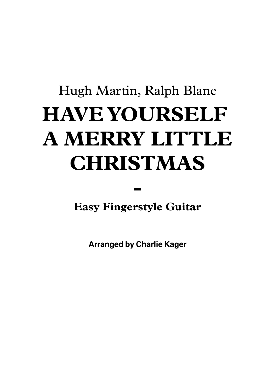## Hugh Martin, Ralph Blane **HAVE YOURSELF A MERRY LITTLE CHRISTMAS**

**Easy Fingerstyle Guitar**

**-**

**Arranged by Charlie Kager**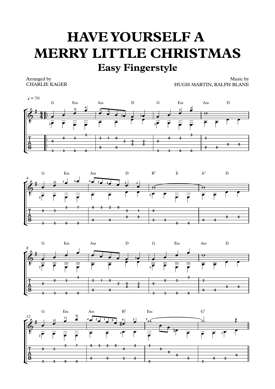## **HAVE YOURSELF A MERRY LITTLE CHRISTMAS Easy Fingerstyle**

Arranged by CHARLIE KAGER

Music by HUGH MARTIN, RALPH BLANE